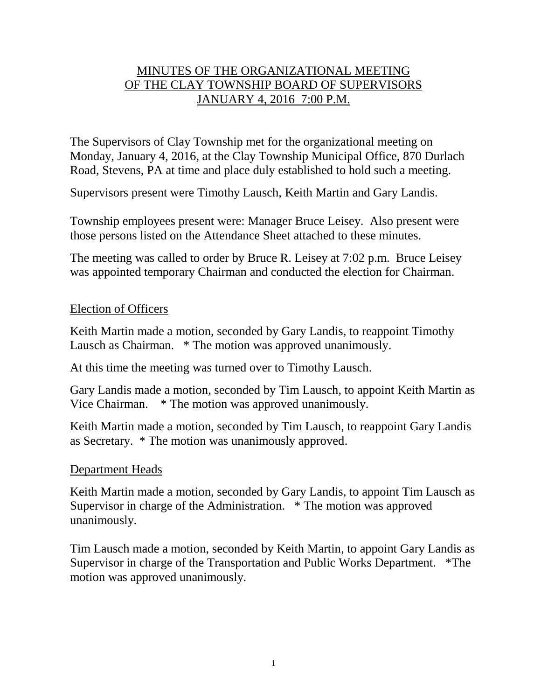# MINUTES OF THE ORGANIZATIONAL MEETING OF THE CLAY TOWNSHIP BOARD OF SUPERVISORS JANUARY 4, 2016 7:00 P.M.

The Supervisors of Clay Township met for the organizational meeting on Monday, January 4, 2016, at the Clay Township Municipal Office, 870 Durlach Road, Stevens, PA at time and place duly established to hold such a meeting.

Supervisors present were Timothy Lausch, Keith Martin and Gary Landis.

Township employees present were: Manager Bruce Leisey. Also present were those persons listed on the Attendance Sheet attached to these minutes.

The meeting was called to order by Bruce R. Leisey at 7:02 p.m. Bruce Leisey was appointed temporary Chairman and conducted the election for Chairman.

### Election of Officers

Keith Martin made a motion, seconded by Gary Landis, to reappoint Timothy Lausch as Chairman. \* The motion was approved unanimously.

At this time the meeting was turned over to Timothy Lausch.

Gary Landis made a motion, seconded by Tim Lausch, to appoint Keith Martin as Vice Chairman. \* The motion was approved unanimously.

Keith Martin made a motion, seconded by Tim Lausch, to reappoint Gary Landis as Secretary. \* The motion was unanimously approved.

#### Department Heads

Keith Martin made a motion, seconded by Gary Landis, to appoint Tim Lausch as Supervisor in charge of the Administration. \* The motion was approved unanimously.

Tim Lausch made a motion, seconded by Keith Martin, to appoint Gary Landis as Supervisor in charge of the Transportation and Public Works Department. \*The motion was approved unanimously.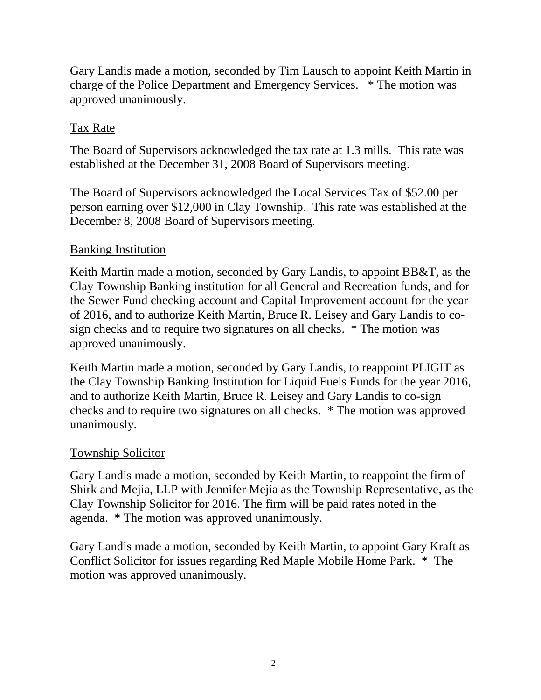Gary Landis made a motion, seconded by Tim Lausch to appoint Keith Martin in charge of the Police Department and Emergency Services. \* The motion was approved unanimously.

# Tax Rate

The Board of Supervisors acknowledged the tax rate at 1.3 mills. This rate was established at the December 31, 2008 Board of Supervisors meeting.

The Board of Supervisors acknowledged the Local Services Tax of \$52.00 per person earning over \$12,000 in Clay Township. This rate was established at the December 8, 2008 Board of Supervisors meeting.

# Banking Institution

Keith Martin made a motion, seconded by Gary Landis, to appoint BB&T, as the Clay Township Banking institution for all General and Recreation funds, and for the Sewer Fund checking account and Capital Improvement account for the year of 2016, and to authorize Keith Martin, Bruce R. Leisey and Gary Landis to cosign checks and to require two signatures on all checks. \* The motion was approved unanimously.

Keith Martin made a motion, seconded by Gary Landis, to reappoint PLIGIT as the Clay Township Banking Institution for Liquid Fuels Funds for the year 2016, and to authorize Keith Martin, Bruce R. Leisey and Gary Landis to co-sign checks and to require two signatures on all checks. \* The motion was approved unanimously.

## Township Solicitor

Gary Landis made a motion, seconded by Keith Martin, to reappoint the firm of Shirk and Mejia, LLP with Jennifer Mejia as the Township Representative, as the Clay Township Solicitor for 2016. The firm will be paid rates noted in the agenda. \* The motion was approved unanimously.

Gary Landis made a motion, seconded by Keith Martin, to appoint Gary Kraft as Conflict Solicitor for issues regarding Red Maple Mobile Home Park. \* The motion was approved unanimously.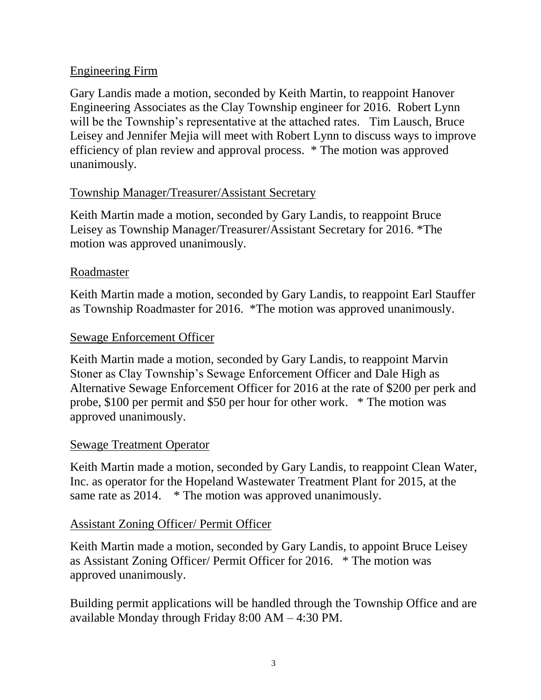## Engineering Firm

Gary Landis made a motion, seconded by Keith Martin, to reappoint Hanover Engineering Associates as the Clay Township engineer for 2016. Robert Lynn will be the Township's representative at the attached rates. Tim Lausch, Bruce Leisey and Jennifer Mejia will meet with Robert Lynn to discuss ways to improve efficiency of plan review and approval process. \* The motion was approved unanimously.

## Township Manager/Treasurer/Assistant Secretary

Keith Martin made a motion, seconded by Gary Landis, to reappoint Bruce Leisey as Township Manager/Treasurer/Assistant Secretary for 2016. \*The motion was approved unanimously.

## Roadmaster

Keith Martin made a motion, seconded by Gary Landis, to reappoint Earl Stauffer as Township Roadmaster for 2016. \*The motion was approved unanimously.

## Sewage Enforcement Officer

Keith Martin made a motion, seconded by Gary Landis, to reappoint Marvin Stoner as Clay Township's Sewage Enforcement Officer and Dale High as Alternative Sewage Enforcement Officer for 2016 at the rate of \$200 per perk and probe, \$100 per permit and \$50 per hour for other work. \* The motion was approved unanimously.

# Sewage Treatment Operator

Keith Martin made a motion, seconded by Gary Landis, to reappoint Clean Water, Inc. as operator for the Hopeland Wastewater Treatment Plant for 2015, at the same rate as 2014. \* The motion was approved unanimously.

# Assistant Zoning Officer/ Permit Officer

Keith Martin made a motion, seconded by Gary Landis, to appoint Bruce Leisey as Assistant Zoning Officer/ Permit Officer for 2016. \* The motion was approved unanimously.

Building permit applications will be handled through the Township Office and are available Monday through Friday 8:00 AM – 4:30 PM.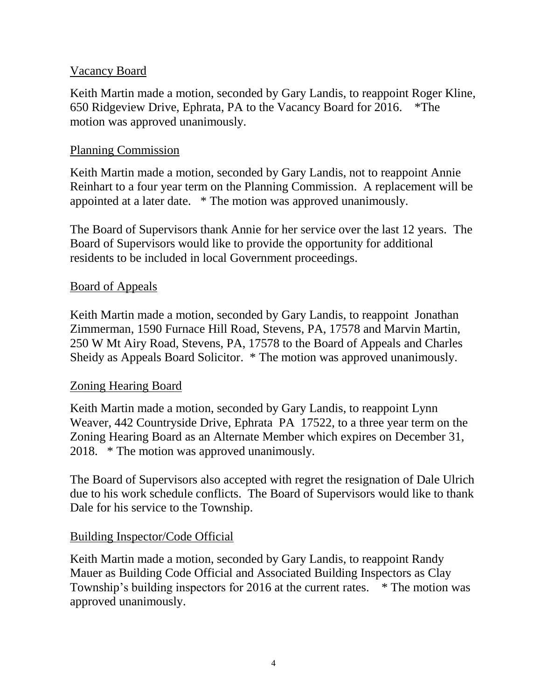### Vacancy Board

Keith Martin made a motion, seconded by Gary Landis, to reappoint Roger Kline, 650 Ridgeview Drive, Ephrata, PA to the Vacancy Board for 2016. \*The motion was approved unanimously.

### Planning Commission

Keith Martin made a motion, seconded by Gary Landis, not to reappoint Annie Reinhart to a four year term on the Planning Commission. A replacement will be appointed at a later date. \* The motion was approved unanimously.

The Board of Supervisors thank Annie for her service over the last 12 years. The Board of Supervisors would like to provide the opportunity for additional residents to be included in local Government proceedings.

### Board of Appeals

Keith Martin made a motion, seconded by Gary Landis, to reappoint Jonathan Zimmerman, 1590 Furnace Hill Road, Stevens, PA, 17578 and Marvin Martin, 250 W Mt Airy Road, Stevens, PA, 17578 to the Board of Appeals and Charles Sheidy as Appeals Board Solicitor. \* The motion was approved unanimously.

#### Zoning Hearing Board

Keith Martin made a motion, seconded by Gary Landis, to reappoint Lynn Weaver, 442 Countryside Drive, Ephrata PA 17522, to a three year term on the Zoning Hearing Board as an Alternate Member which expires on December 31, 2018. \* The motion was approved unanimously.

The Board of Supervisors also accepted with regret the resignation of Dale Ulrich due to his work schedule conflicts. The Board of Supervisors would like to thank Dale for his service to the Township.

## Building Inspector/Code Official

Keith Martin made a motion, seconded by Gary Landis, to reappoint Randy Mauer as Building Code Official and Associated Building Inspectors as Clay Township's building inspectors for 2016 at the current rates. \* The motion was approved unanimously.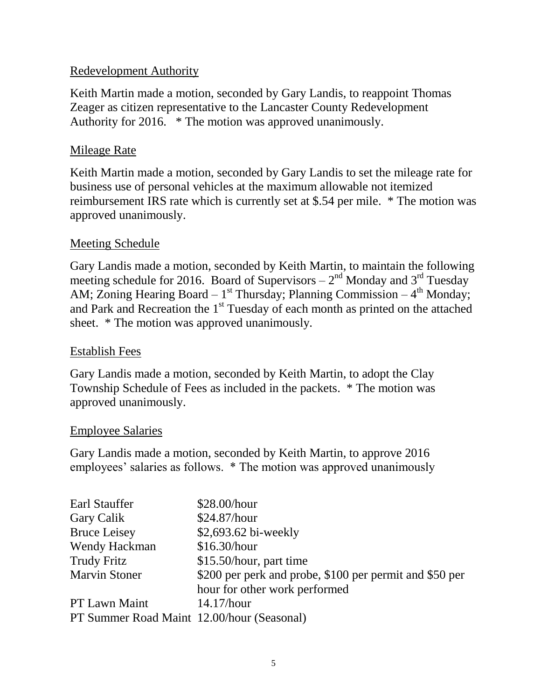## Redevelopment Authority

Keith Martin made a motion, seconded by Gary Landis, to reappoint Thomas Zeager as citizen representative to the Lancaster County Redevelopment Authority for 2016. \* The motion was approved unanimously.

### Mileage Rate

Keith Martin made a motion, seconded by Gary Landis to set the mileage rate for business use of personal vehicles at the maximum allowable not itemized reimbursement IRS rate which is currently set at \$.54 per mile. \* The motion was approved unanimously.

### Meeting Schedule

Gary Landis made a motion, seconded by Keith Martin, to maintain the following meeting schedule for 2016. Board of Supervisors  $-2<sup>nd</sup>$  Monday and 3<sup>rd</sup> Tuesday AM; Zoning Hearing Board –  $1<sup>st</sup>$  Thursday; Planning Commission –  $4<sup>th</sup>$  Monday; and Park and Recreation the 1<sup>st</sup> Tuesday of each month as printed on the attached sheet. \* The motion was approved unanimously.

#### Establish Fees

Gary Landis made a motion, seconded by Keith Martin, to adopt the Clay Township Schedule of Fees as included in the packets. \* The motion was approved unanimously.

#### Employee Salaries

Gary Landis made a motion, seconded by Keith Martin, to approve 2016 employees' salaries as follows. \* The motion was approved unanimously

| Earl Stauffer                              | \$28.00/hour                                            |
|--------------------------------------------|---------------------------------------------------------|
| Gary Calik                                 | \$24.87/hour                                            |
| <b>Bruce Leisey</b>                        | \$2,693.62 bi-weekly                                    |
| Wendy Hackman                              | \$16.30/hour                                            |
| <b>Trudy Fritz</b>                         | \$15.50/hour, part time                                 |
| <b>Marvin Stoner</b>                       | \$200 per perk and probe, \$100 per permit and \$50 per |
|                                            | hour for other work performed                           |
| PT Lawn Maint                              | $14.17$ /hour                                           |
| PT Summer Road Maint 12.00/hour (Seasonal) |                                                         |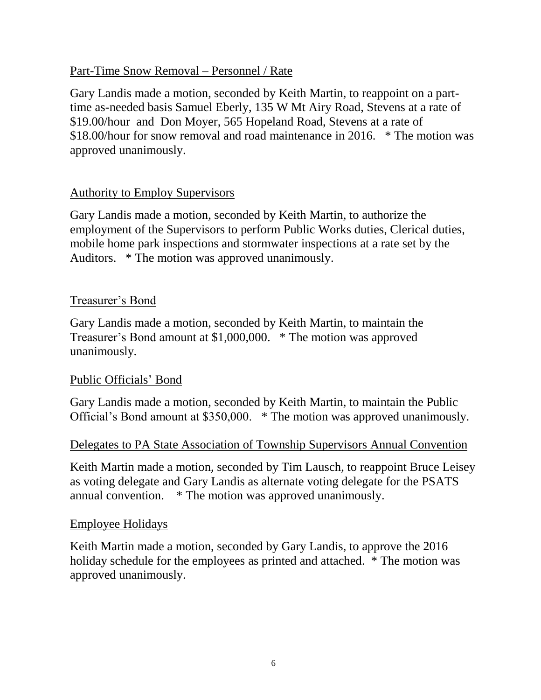### Part-Time Snow Removal – Personnel / Rate

Gary Landis made a motion, seconded by Keith Martin, to reappoint on a parttime as-needed basis Samuel Eberly, 135 W Mt Airy Road, Stevens at a rate of \$19.00/hour and Don Moyer, 565 Hopeland Road, Stevens at a rate of \$18.00/hour for snow removal and road maintenance in 2016. \* The motion was approved unanimously.

## Authority to Employ Supervisors

Gary Landis made a motion, seconded by Keith Martin, to authorize the employment of the Supervisors to perform Public Works duties, Clerical duties, mobile home park inspections and stormwater inspections at a rate set by the Auditors. \* The motion was approved unanimously.

### Treasurer's Bond

Gary Landis made a motion, seconded by Keith Martin, to maintain the Treasurer's Bond amount at \$1,000,000. \* The motion was approved unanimously.

#### Public Officials' Bond

Gary Landis made a motion, seconded by Keith Martin, to maintain the Public Official's Bond amount at \$350,000. \* The motion was approved unanimously.

#### Delegates to PA State Association of Township Supervisors Annual Convention

Keith Martin made a motion, seconded by Tim Lausch, to reappoint Bruce Leisey as voting delegate and Gary Landis as alternate voting delegate for the PSATS annual convention. \* The motion was approved unanimously.

#### Employee Holidays

Keith Martin made a motion, seconded by Gary Landis, to approve the 2016 holiday schedule for the employees as printed and attached. \* The motion was approved unanimously.